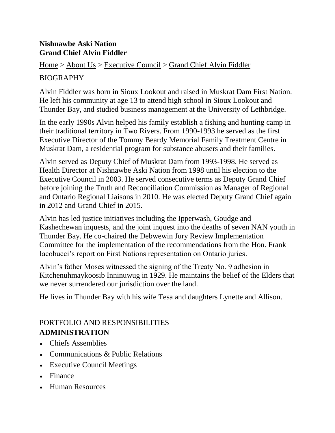#### **[Nishnawbe](http://www.nan.on.ca/) Aski Nation Grand Chief Alvin Fiddler**

[Home](http://www.nan.on.ca/article/welcome-1.asp) > [About](http://www.nan.on.ca/article/about-us-3.asp) Us > [Executive](http://www.nan.on.ca/article/executive-council--126.asp) Council > Grand Chief Alvin [Fiddler](http://www.nan.on.ca/article/grand-chief-alvin-fiddler-820.asp)

#### BIOGRAPHY

Alvin Fiddler was born in Sioux Lookout and raised in Muskrat Dam First Nation. He left his community at age 13 to attend high school in Sioux Lookout and Thunder Bay, and studied business management at the University of Lethbridge.

In the early 1990s Alvin helped his family establish a fishing and hunting camp in their traditional territory in Two Rivers. From 1990-1993 he served as the first Executive Director of the Tommy Beardy Memorial Family Treatment Centre in Muskrat Dam, a residential program for substance abusers and their families.

Alvin served as Deputy Chief of Muskrat Dam from 1993-1998. He served as Health Director at Nishnawbe Aski Nation from 1998 until his election to the Executive Council in 2003. He served consecutive terms as Deputy Grand Chief before joining the Truth and Reconciliation Commission as Manager of Regional and Ontario Regional Liaisons in 2010. He was elected Deputy Grand Chief again in 2012 and Grand Chief in 2015.

Alvin has led justice initiatives including the Ipperwash, Goudge and Kashechewan inquests, and the joint inquest into the deaths of seven NAN youth in Thunder Bay. He co-chaired the Debwewin Jury Review Implementation Committee for the implementation of the recommendations from the Hon. Frank Iacobucci's report on First Nations representation on Ontario juries.

Alvin's father Moses witnessed the signing of the Treaty No. 9 adhesion in Kitchenuhmaykoosib Inninuwug in 1929. He maintains the belief of the Elders that we never surrendered our jurisdiction over the land.

He lives in Thunder Bay with his wife Tesa and daughters Lynette and Allison.

### PORTFOLIO AND RESPONSIBILITIES **ADMINISTRATION**

- Chiefs Assemblies
- Communications & Public Relations
- Executive Council Meetings
- Finance
- Human Resources